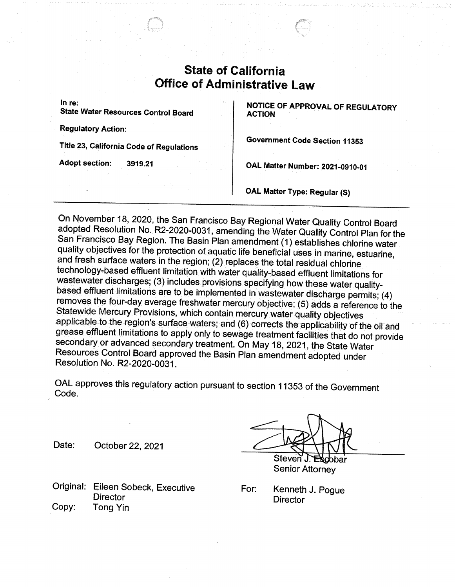## **State of California** UITICE OT AQI

In re:

State Water Resources Control Board

Regulatory Action:

Title 23, California Code of Regulations

Adopt section: 3919.21

NOTICE OF APPROVAL OF REGULATORY ACTION

Government Code Section 11353

OAL Matter Number: 2021-0910-01

OAL. Matter Type: Regular (S)

On November 18, 2020, the San Francisco Bay Regional Water Quality Control Board<br>adopted Resolution No. R2-2020-0031, amending the Water Quality Control Plan for the<br>San Francisco Bay Region. The Basin Plan amendment (1) e wastewater discharges; (3) includes provisions specifying how these water qualitybased effluent limitations are to be implemented in wastewater discharge permits; (4)<br>removes the four-day average freshwater mercury objective; (5) adds a reference to the Statewide Mercury Provisions, which contain mercury water quality objectives<br>applicable to the region's surface waters; and (6) corrects the applicability of the oil and<br>grease effluent limitations to apply only to sewage secondary or advanced secondary treatment. On May 18, 2021, the State Water Resources Control Board approved the Basin Plan amendment adopted under Resolution No. R2-2020-0037.

OAL approves this regulatory action pursuant to section 71353 of the Government Code.

Date: October 22, 2021

Original: Eileen Sobeck, Executive **Director** Copy: Tong Yin

 $\mathbb{R}$  $\tau$ ~.►.~r1Steven. วbar

Senior Attorney

For: Kenneth J. Pogue **Director**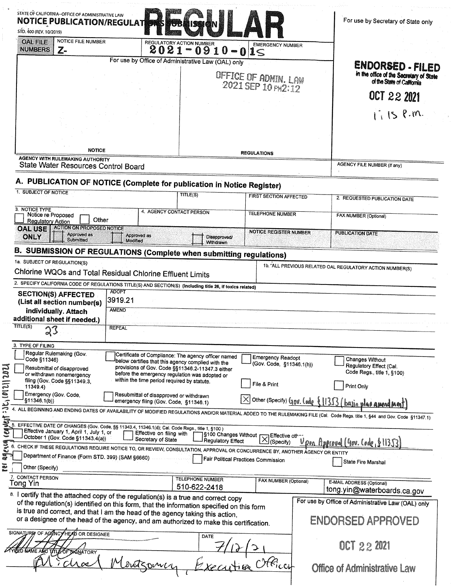| STATE OF CALIFORNIA--OFFICE OF ADMINISTRATIVE LAW<br><b>NOTICE PUBLICATION/REGULAT</b><br>STD. 400 (REV. 10/2019)                                                                                                                                                    |                                                                                                                                                                                                                 |                                                                   | For use by Secretary of State only                                                                                                                                           |
|----------------------------------------------------------------------------------------------------------------------------------------------------------------------------------------------------------------------------------------------------------------------|-----------------------------------------------------------------------------------------------------------------------------------------------------------------------------------------------------------------|-------------------------------------------------------------------|------------------------------------------------------------------------------------------------------------------------------------------------------------------------------|
| <b>NOTICE FILE NUMBER</b><br><b>OAL FILE</b><br><b>NUMBERS</b><br>Z-                                                                                                                                                                                                 | <b>REGULATORY ACTION NUMBER</b><br>$2021 - 0910 - 015$                                                                                                                                                          | <b>EMERGENCY NUMBER</b>                                           |                                                                                                                                                                              |
|                                                                                                                                                                                                                                                                      | For use by Office of Administrative Law (OAL) only                                                                                                                                                              |                                                                   | ENDORSED - FILED                                                                                                                                                             |
|                                                                                                                                                                                                                                                                      |                                                                                                                                                                                                                 | OFFICE OF ADMIN. LAW                                              | in the office of the Secretary of State<br>of the State of California                                                                                                        |
|                                                                                                                                                                                                                                                                      |                                                                                                                                                                                                                 | 2021 SEP 10 PH2:12                                                |                                                                                                                                                                              |
|                                                                                                                                                                                                                                                                      |                                                                                                                                                                                                                 |                                                                   | OCT 22 2021                                                                                                                                                                  |
|                                                                                                                                                                                                                                                                      |                                                                                                                                                                                                                 |                                                                   | $1.15$ P.m.                                                                                                                                                                  |
|                                                                                                                                                                                                                                                                      |                                                                                                                                                                                                                 |                                                                   |                                                                                                                                                                              |
|                                                                                                                                                                                                                                                                      |                                                                                                                                                                                                                 |                                                                   |                                                                                                                                                                              |
| <b>NOTICE</b>                                                                                                                                                                                                                                                        |                                                                                                                                                                                                                 | <b>REGULATIONS</b>                                                |                                                                                                                                                                              |
| <b>AGENCY WITH RULEMAKING AUTHORITY</b><br>State Water Resources Control Board                                                                                                                                                                                       |                                                                                                                                                                                                                 |                                                                   | <b>AGENCY FILE NUMBER (If any)</b>                                                                                                                                           |
|                                                                                                                                                                                                                                                                      |                                                                                                                                                                                                                 |                                                                   |                                                                                                                                                                              |
| A. PUBLICATION OF NOTICE (Complete for publication in Notice Register)<br>1. SUBJECT OF NOTICE                                                                                                                                                                       | TITLE(S)                                                                                                                                                                                                        |                                                                   |                                                                                                                                                                              |
|                                                                                                                                                                                                                                                                      |                                                                                                                                                                                                                 | <b>FIRST SECTION AFFECTED</b>                                     | 2. REQUESTED PUBLICATION DATE                                                                                                                                                |
| 3. NOTICE TYPE<br>Notice re Proposed<br>Other<br><b>Regulatory Action</b>                                                                                                                                                                                            | 4. AGENCY CONTACT PERSON                                                                                                                                                                                        | <b>TELEPHONE NUMBER</b>                                           | FAX NUMBER (Optional)                                                                                                                                                        |
| <b>ACTION ON PROPOSED NOTICE</b><br><b>OAL USE</b><br><b>Approved as</b><br><b>ONLY</b><br><b>Submitted</b>                                                                                                                                                          | Approved as<br>Modified                                                                                                                                                                                         | <b>NOTICE REGISTER NUMBER</b><br>Disapproved/<br><b>Withdrawn</b> | <b>PUBLICATION DATE</b>                                                                                                                                                      |
| <b>B. SUBMISSION OF REGULATIONS (Complete when submitting regulations)</b>                                                                                                                                                                                           |                                                                                                                                                                                                                 |                                                                   |                                                                                                                                                                              |
| 1a. SUBJECT OF REGULATION(S)                                                                                                                                                                                                                                         |                                                                                                                                                                                                                 |                                                                   |                                                                                                                                                                              |
|                                                                                                                                                                                                                                                                      |                                                                                                                                                                                                                 |                                                                   |                                                                                                                                                                              |
| Chlorine WQOs and Total Residual Chlorine Effluent Limits                                                                                                                                                                                                            |                                                                                                                                                                                                                 |                                                                   | 1b. ALL PREVIOUS RELATED OAL REGULATORY ACTION NUMBER(S)                                                                                                                     |
| 2. SPECIFY CALIFORNIA CODE OF REGULATIONS TITLE(S) AND SECTION(S) (Including title 26, if toxics related)                                                                                                                                                            | <b>ADOPT</b>                                                                                                                                                                                                    |                                                                   |                                                                                                                                                                              |
| <b>SECTION(S) AFFECTED</b><br>(List all section number(s)<br>individually. Attach                                                                                                                                                                                    | 3919.21<br><b>AMEND</b>                                                                                                                                                                                         |                                                                   |                                                                                                                                                                              |
| additional sheet if needed.)<br>TITLE(S)<br>23                                                                                                                                                                                                                       | <b>REPEAL</b>                                                                                                                                                                                                   |                                                                   |                                                                                                                                                                              |
| 3. TYPE OF FILING                                                                                                                                                                                                                                                    |                                                                                                                                                                                                                 |                                                                   |                                                                                                                                                                              |
| Regular Rulemaking (Gov.<br>Code §11346)<br>Resubmittal of disapproved<br>or withdrawn nonemergency                                                                                                                                                                  | Certificate of Compliance: The agency officer named<br>below certifies that this agency complied with the<br>provisions of Gov. Code §§11346.2-11347.3 either<br>before the emergency regulation was adopted or | <b>Emergency Readopt</b><br>(Gov. Code, §11346.1(h))              | Changes Without<br>Regulatory Effect (Cal.<br>Code Regs., title 1, §100)                                                                                                     |
| filing (Gov. Code §§11349.3.<br>11349.4)                                                                                                                                                                                                                             | within the time period required by statute.                                                                                                                                                                     | File & Print                                                      | Print Only                                                                                                                                                                   |
| Emergency (Gov. Code.<br>§11346.1(b))                                                                                                                                                                                                                                | Resubmittal of disapproved or withdrawn<br>emergency filing (Gov. Code, §11346.1)                                                                                                                               |                                                                   |                                                                                                                                                                              |
|                                                                                                                                                                                                                                                                      |                                                                                                                                                                                                                 |                                                                   | $\overline{\times}$ Other (Specify) Gov. Code {11353 (basin plan amend mont)                                                                                                 |
| 5. EFFECTIVE DATE OF CHANGES (Gov. Code, §§ 11343.4, 11346.1(d); Cal. Code Regs., title 1, §100)<br>Effective January 1, April 1, July 1, or                                                                                                                         | Effective on filing with                                                                                                                                                                                        | S100 Changes Without [ J Effective other                          | 4. ALL BEGINNING AND ENDING DATES OF AVAILABILITY OF MODIFIED REGULATIONS AND/OR MATERIAL ADDED TO THE RULEMAKING FILE (Cal. Code Regs. title 1, §44 and Gov. Code §11347.1) |
| October 1 (Gov. Code §11343.4(a))                                                                                                                                                                                                                                    | Secretary of State                                                                                                                                                                                              | Regulatory Effect<br>(Specify)                                    | <u> Upon Approval (4ov. Code, 611353)</u>                                                                                                                                    |
| 6. CHECK IF THESE REGULATIONS REQUIRE NOTICE TO, OR REVIEW, CONSULTATION, APPROVAL OR CONCURRENCE BY, ANOTHER AGENCY OR ENTITY<br>Department of Finance (Form STD. 399) (SAM §6660)                                                                                  |                                                                                                                                                                                                                 | Fair Political Practices Commission                               | State Fire Marshal                                                                                                                                                           |
| Other (Specify)                                                                                                                                                                                                                                                      |                                                                                                                                                                                                                 |                                                                   |                                                                                                                                                                              |
| 7. CONTACT PERSON<br>Tong Yin                                                                                                                                                                                                                                        | <b>TELEPHONE NUMBER</b>                                                                                                                                                                                         | FAX NUMBER (Optional)                                             | E-MAIL ADDRESS (Optional)                                                                                                                                                    |
| 8. I certify that the attached copy of the regulation(s) is a true and correct copy                                                                                                                                                                                  | 510-622-2418                                                                                                                                                                                                    |                                                                   | tong.yin@waterboards.ca.gov<br>For use by Office of Administrative Law (OAL) only                                                                                            |
| of the regulation(s) identified on this form, that the information specified on this form<br>is true and correct, and that I am the head of the agency taking this action,<br>or a designee of the head of the agency, and am authorized to make this certification. |                                                                                                                                                                                                                 |                                                                   | ENDORSED APPROVED                                                                                                                                                            |
| SIGNATURE OF AGENCY HEAD OR DESIGNEE<br>ED NAME AND TITLE OF SIGNATORY                                                                                                                                                                                               | DATE                                                                                                                                                                                                            |                                                                   | OCT 22 2021                                                                                                                                                                  |

 $\frac{1}{\sqrt{2}}$